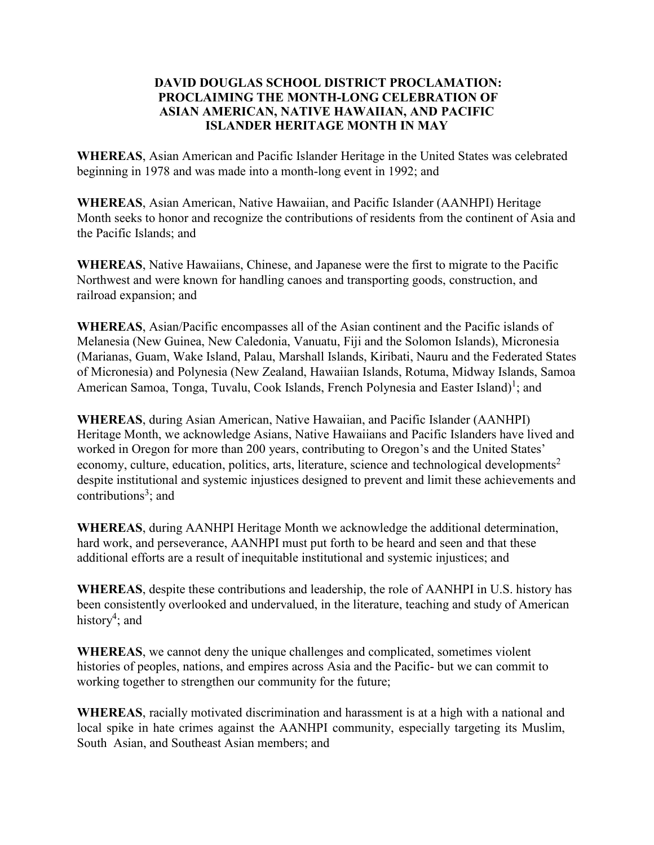## **DAVID DOUGLAS SCHOOL DISTRICT PROCLAMATION: PROCLAIMING THE MONTH-LONG CELEBRATION OF ASIAN AMERICAN, NATIVE HAWAIIAN, AND PACIFIC ISLANDER HERITAGE MONTH IN MAY**

**WHEREAS**, Asian American and Pacific Islander Heritage in the United States was celebrated beginning in 1978 and was made into a month-long event in 1992; and

**WHEREAS**, Asian American, Native Hawaiian, and Pacific Islander (AANHPI) Heritage Month seeks to honor and recognize the contributions of residents from the continent of Asia and the Pacific Islands; and

**WHEREAS**, Native Hawaiians, Chinese, and Japanese were the first to migrate to the Pacific Northwest and were known for handling canoes and transporting goods, construction, and railroad expansion; and

**WHEREAS**, Asian/Pacific encompasses all of the Asian continent and the Pacific islands of Melanesia (New Guinea, New Caledonia, Vanuatu, Fiji and the Solomon Islands), Micronesia (Marianas, Guam, Wake Island, Palau, Marshall Islands, Kiribati, Nauru and the Federated States of Micronesia) and Polynesia (New Zealand, Hawaiian Islands, Rotuma, Midway Islands, Samoa American Samoa, Tonga, Tuvalu, Cook Islands, French Polynesia and Easter Island)<sup>1</sup>; and

**WHEREAS**, during Asian American, Native Hawaiian, and Pacific Islander (AANHPI) Heritage Month, we acknowledge Asians, Native Hawaiians and Pacific Islanders have lived and worked in Oregon for more than 200 years, contributing to Oregon's and the United States' economy, culture, education, politics, arts, literature, science and technological developments<sup>2</sup> despite institutional and systemic injustices designed to prevent and limit these achievements and contributions<sup>3</sup>; and

**WHEREAS**, during AANHPI Heritage Month we acknowledge the additional determination, hard work, and perseverance, AANHPI must put forth to be heard and seen and that these additional efforts are a result of inequitable institutional and systemic injustices; and

**WHEREAS**, despite these contributions and leadership, the role of AANHPI in U.S. history has been consistently overlooked and undervalued, in the literature, teaching and study of American history<sup>4</sup>; and

**WHEREAS**, we cannot deny the unique challenges and complicated, sometimes violent histories of peoples, nations, and empires across Asia and the Pacific- but we can commit to working together to strengthen our community for the future;

**WHEREAS**, racially motivated discrimination and harassment is at a high with a national and local spike in hate crimes against the AANHPI community, especially targeting its Muslim, South Asian, and Southeast Asian members; and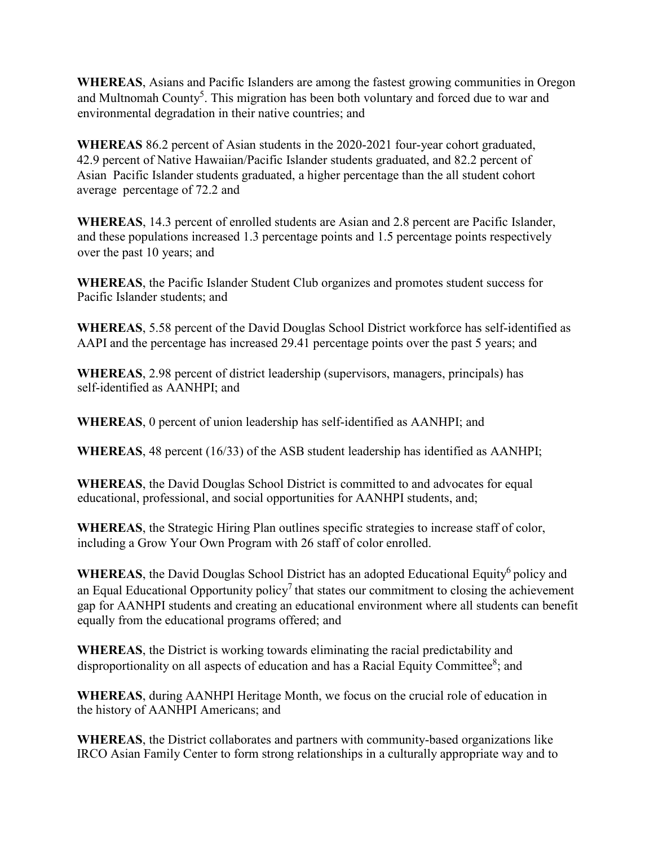**WHEREAS**, Asians and Pacific Islanders are among the fastest growing communities in Oregon and Multnomah County<sup>5</sup>. This migration has been both voluntary and forced due to war and environmental degradation in their native countries; and

**WHEREAS** 86.2 percent of Asian students in the 2020-2021 four-year cohort graduated, 42.9 percent of Native Hawaiian/Pacific Islander students graduated, and 82.2 percent of Asian Pacific Islander students graduated, a higher percentage than the all student cohort average percentage of 72.2 and

**WHEREAS**, 14.3 percent of enrolled students are Asian and 2.8 percent are Pacific Islander, and these populations increased 1.3 percentage points and 1.5 percentage points respectively over the past 10 years; and

**WHEREAS**, the Pacific Islander Student Club organizes and promotes student success for Pacific Islander students; and

**WHEREAS**, 5.58 percent of the David Douglas School District workforce has self-identified as AAPI and the percentage has increased 29.41 percentage points over the past 5 years; and

**WHEREAS**, 2.98 percent of district leadership (supervisors, managers, principals) has self-identified as AANHPI; and

**WHEREAS**, 0 percent of union leadership has self-identified as AANHPI; and

**WHEREAS**, 48 percent (16/33) of the ASB student leadership has identified as AANHPI;

**WHEREAS**, the David Douglas School District is committed to and advocates for equal educational, professional, and social opportunities for AANHPI students, and;

**WHEREAS**, the Strategic Hiring Plan outlines specific strategies to increase staff of color, including a Grow Your Own Program with 26 staff of color enrolled.

WHEREAS, the David Douglas School District has an adopted Educational Equity<sup>6</sup> policy and an Equal Educational Opportunity policy<sup>7</sup> that states our commitment to closing the achievement gap for AANHPI students and creating an educational environment where all students can benefit equally from the educational programs offered; and

**WHEREAS**, the District is working towards eliminating the racial predictability and disproportionality on all aspects of education and has a Racial Equity Committee<sup>8</sup>; and

**WHEREAS**, during AANHPI Heritage Month, we focus on the crucial role of education in the history of AANHPI Americans; and

**WHEREAS**, the District collaborates and partners with community-based organizations like IRCO Asian Family Center to form strong relationships in a culturally appropriate way and to